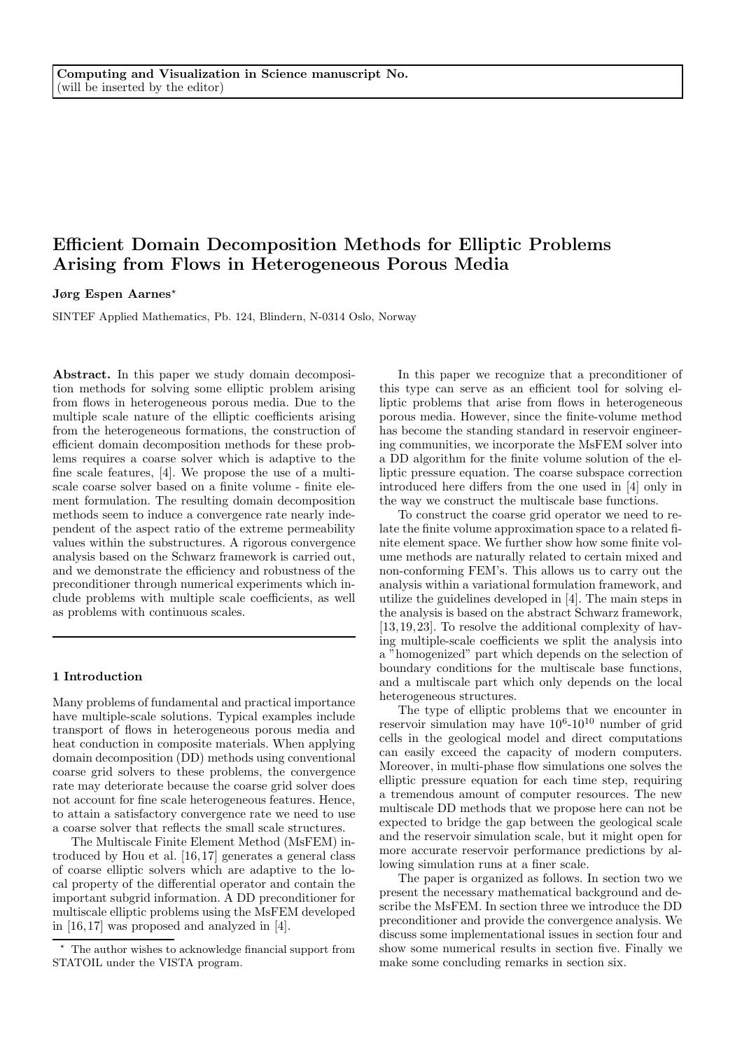# Efficient Domain Decomposition Methods for Elliptic Problems Arising from Flows in Heterogeneous Porous Media

Jørg Espen Aarnes\*

SINTEF Applied Mathematics, Pb. 124, Blindern, N-0314 Oslo, Norway

Abstract. In this paper we study domain decomposition methods for solving some elliptic problem arising from flows in heterogeneous porous media. Due to the multiple scale nature of the elliptic coefficients arising from the heterogeneous formations, the construction of efficient domain decomposition methods for these problems requires a coarse solver which is adaptive to the fine scale features, [4]. We propose the use of a multiscale coarse solver based on a finite volume - finite element formulation. The resulting domain decomposition methods seem to induce a convergence rate nearly independent of the aspect ratio of the extreme permeability values within the substructures. A rigorous convergence analysis based on the Schwarz framework is carried out, and we demonstrate the efficiency and robustness of the preconditioner through numerical experiments which include problems with multiple scale coefficients, as well as problems with continuous scales.

# 1 Introduction

Many problems of fundamental and practical importance have multiple-scale solutions. Typical examples include transport of flows in heterogeneous porous media and heat conduction in composite materials. When applying domain decomposition (DD) methods using conventional coarse grid solvers to these problems, the convergence rate may deteriorate because the coarse grid solver does not account for fine scale heterogeneous features. Hence, to attain a satisfactory convergence rate we need to use a coarse solver that reflects the small scale structures.

The Multiscale Finite Element Method (MsFEM) introduced by Hou et al. [16,17] generates a general class of coarse elliptic solvers which are adaptive to the local property of the differential operator and contain the important subgrid information. A DD preconditioner for multiscale elliptic problems using the MsFEM developed in [16,17] was proposed and analyzed in [4].

In this paper we recognize that a preconditioner of this type can serve as an efficient tool for solving elliptic problems that arise from flows in heterogeneous porous media. However, since the finite-volume method has become the standing standard in reservoir engineering communities, we incorporate the MsFEM solver into a DD algorithm for the finite volume solution of the elliptic pressure equation. The coarse subspace correction introduced here differs from the one used in [4] only in the way we construct the multiscale base functions.

To construct the coarse grid operator we need to relate the finite volume approximation space to a related finite element space. We further show how some finite volume methods are naturally related to certain mixed and non-conforming FEM's. This allows us to carry out the analysis within a variational formulation framework, and utilize the guidelines developed in [4]. The main steps in the analysis is based on the abstract Schwarz framework, [13,19,23]. To resolve the additional complexity of having multiple-scale coefficients we split the analysis into a "homogenized" part which depends on the selection of boundary conditions for the multiscale base functions, and a multiscale part which only depends on the local heterogeneous structures.

The type of elliptic problems that we encounter in reservoir simulation may have  $10<sup>6</sup>$ -10<sup>10</sup> number of grid cells in the geological model and direct computations can easily exceed the capacity of modern computers. Moreover, in multi-phase flow simulations one solves the elliptic pressure equation for each time step, requiring a tremendous amount of computer resources. The new multiscale DD methods that we propose here can not be expected to bridge the gap between the geological scale and the reservoir simulation scale, but it might open for more accurate reservoir performance predictions by allowing simulation runs at a finer scale.

The paper is organized as follows. In section two we present the necessary mathematical background and describe the MsFEM. In section three we introduce the DD preconditioner and provide the convergence analysis. We discuss some implementational issues in section four and show some numerical results in section five. Finally we make some concluding remarks in section six.

<sup>?</sup> The author wishes to acknowledge financial support from STATOIL under the VISTA program.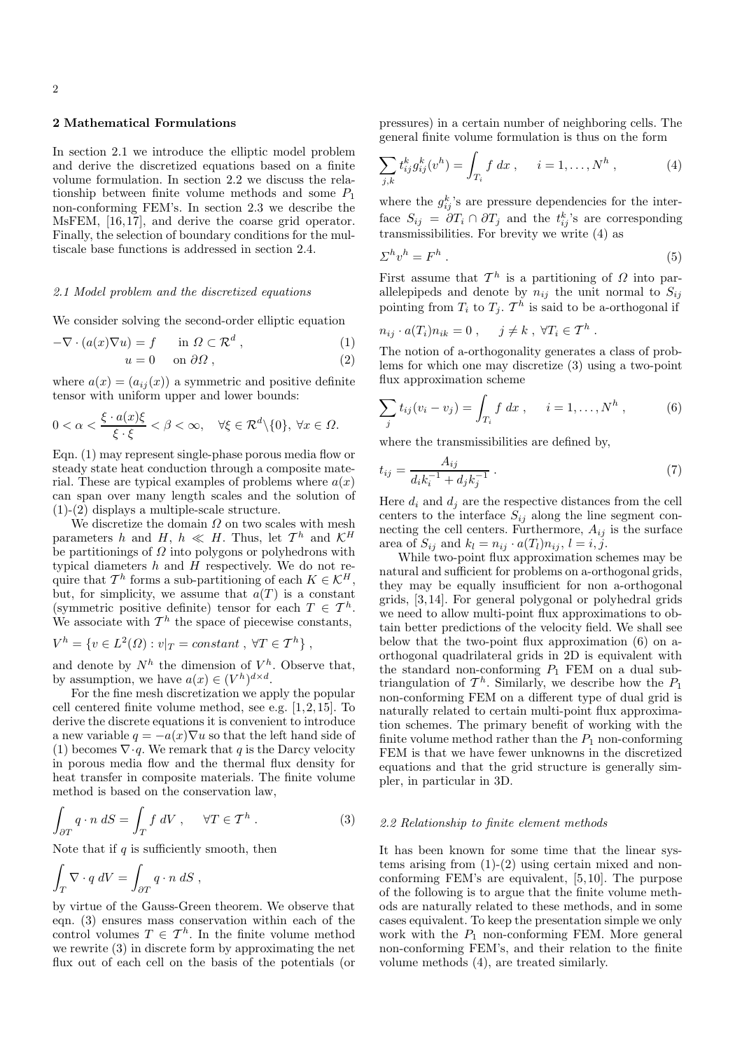# 2 Mathematical Formulations

In section 2.1 we introduce the elliptic model problem and derive the discretized equations based on a finite volume formulation. In section 2.2 we discuss the relationship between finite volume methods and some  $P_1$ non-conforming FEM's. In section 2.3 we describe the MsFEM, [16,17], and derive the coarse grid operator. Finally, the selection of boundary conditions for the multiscale base functions is addressed in section 2.4.

#### 2.1 Model problem and the discretized equations

We consider solving the second-order elliptic equation

$$
-\nabla \cdot (a(x)\nabla u) = f \quad \text{in } \Omega \subset \mathcal{R}^d ,
$$
  
\n
$$
u = 0 \quad \text{on } \partial\Omega ,
$$
\n(1)

where  $a(x) = (a_{ij}(x))$  a symmetric and positive definite tensor with uniform upper and lower bounds:

$$
0 < \alpha < \frac{\xi \cdot a(x)\xi}{\xi \cdot \xi} < \beta < \infty, \quad \forall \xi \in \mathcal{R}^d \setminus \{0\}, \ \forall x \in \Omega.
$$

Eqn. (1) may represent single-phase porous media flow or steady state heat conduction through a composite material. These are typical examples of problems where  $a(x)$ can span over many length scales and the solution of (1)-(2) displays a multiple-scale structure.

We discretize the domain  $\Omega$  on two scales with mesh parameters h and H,  $h \ll H$ . Thus, let  $\mathcal{T}^h$  and  $\mathcal{K}^H$ be partitionings of  $\Omega$  into polygons or polyhedrons with typical diameters  $h$  and  $H$  respectively. We do not require that  $\mathcal{T}^h$  forms a sub-partitioning of each  $K \in \mathcal{K}^H$ , but, for simplicity, we assume that  $a(T)$  is a constant (symmetric positive definite) tensor for each  $T \in \mathcal{T}^h$ . We associate with  $\mathcal{T}^h$  the space of piecewise constants,

$$
V^h = \{ v \in L^2(\Omega) : v|_T = constant , \forall T \in \mathcal{T}^h \},
$$

and denote by  $N^h$  the dimension of  $V^h$ . Observe that, by assumption, we have  $a(x) \in (V^h)^{d \times d}$ .

For the fine mesh discretization we apply the popular cell centered finite volume method, see e.g. [1,2,15]. To derive the discrete equations it is convenient to introduce a new variable  $q = -a(x)\nabla u$  so that the left hand side of (1) becomes  $\nabla \cdot q$ . We remark that q is the Darcy velocity in porous media flow and the thermal flux density for heat transfer in composite materials. The finite volume method is based on the conservation law,

$$
\int_{\partial T} q \cdot n \, dS = \int_{T} f \, dV \,, \quad \forall T \in \mathcal{T}^{h} \,.
$$
 (3)

Note that if  $q$  is sufficiently smooth, then

$$
\int_T \nabla \cdot q \ dV = \int_{\partial T} q \cdot n \ dS \ ,
$$

by virtue of the Gauss-Green theorem. We observe that eqn. (3) ensures mass conservation within each of the control volumes  $T \in \mathcal{T}^h$ . In the finite volume method we rewrite (3) in discrete form by approximating the net flux out of each cell on the basis of the potentials (or pressures) in a certain number of neighboring cells. The general finite volume formulation is thus on the form

$$
\sum_{j,k} t_{ij}^k g_{ij}^k(v^h) = \int_{T_i} f \, dx \,, \quad i = 1, \dots, N^h \,, \tag{4}
$$

where the  $g_{ij}^k$ 's are pressure dependencies for the interface  $S_{ij} = \partial T_i \cap \partial T_j$  and the  $t_{ij}^k$ 's are corresponding transmissibilities. For brevity we write (4) as

$$
\Sigma^h v^h = F^h \tag{5}
$$

First assume that  $\mathcal{T}^h$  is a partitioning of  $\Omega$  into parallelepipeds and denote by  $n_{ij}$  the unit normal to  $S_{ij}$ pointing from  $T_i$  to  $T_j$ .  $\mathcal{T}^h$  is said to be a-orthogonal if

$$
n_{ij} \cdot a(T_i) n_{ik} = 0 \;, \quad j \neq k \;, \; \forall T_i \in \mathcal{T}^h \;.
$$

The notion of a-orthogonality generates a class of problems for which one may discretize (3) using a two-point flux approximation scheme

$$
\sum_{j} t_{ij}(v_i - v_j) = \int_{T_i} f \, dx \, , \quad i = 1, \dots, N^h \, , \tag{6}
$$

where the transmissibilities are defined by,

$$
t_{ij} = \frac{A_{ij}}{d_i k_i^{-1} + d_j k_j^{-1}}.
$$
\n(7)

Here  $d_i$  and  $d_j$  are the respective distances from the cell centers to the interface  $S_{ij}$  along the line segment connecting the cell centers. Furthermore,  $A_{ij}$  is the surface area of  $S_{ij}$  and  $k_l = n_{ij} \cdot a(T_l) n_{ij}$ ,  $l = i, j$ .

While two-point flux approximation schemes may be natural and sufficient for problems on a-orthogonal grids, they may be equally insufficient for non a-orthogonal grids, [3,14]. For general polygonal or polyhedral grids we need to allow multi-point flux approximations to obtain better predictions of the velocity field. We shall see below that the two-point flux approximation (6) on aorthogonal quadrilateral grids in 2D is equivalent with the standard non-conforming  $P_1$  FEM on a dual subtriangulation of  $\mathcal{T}^h$ . Similarly, we describe how the  $P_1$ non-conforming FEM on a different type of dual grid is naturally related to certain multi-point flux approximation schemes. The primary benefit of working with the finite volume method rather than the  $P_1$  non-conforming FEM is that we have fewer unknowns in the discretized equations and that the grid structure is generally simpler, in particular in 3D.

#### 2.2 Relationship to finite element methods

It has been known for some time that the linear systems arising from (1)-(2) using certain mixed and nonconforming FEM's are equivalent, [5,10]. The purpose of the following is to argue that the finite volume methods are naturally related to these methods, and in some cases equivalent. To keep the presentation simple we only work with the  $P_1$  non-conforming FEM. More general non-conforming FEM's, and their relation to the finite volume methods (4), are treated similarly.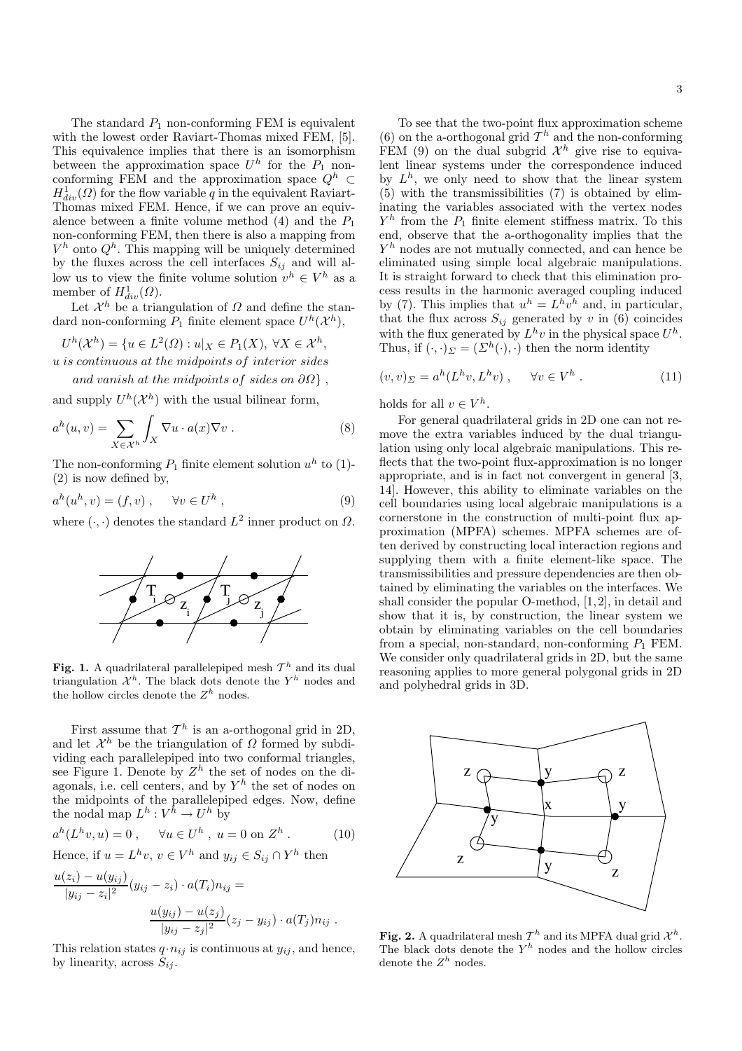The standard  $P_1$  non-conforming FEM is equivalent with the lowest order Raviart-Thomas mixed FEM, [5]. This equivalence implies that there is an isomorphism between the approximation space  $U^h$  for the  $P_1$  nonconforming FEM and the approximation space  $Q^h$  ⊂  $H^1_{div}(\Omega)$  for the flow variable q in the equivalent Raviart-Thomas mixed FEM. Hence, if we can prove an equivalence between a finite volume method  $(4)$  and the  $P_1$ non-conforming FEM, then there is also a mapping from  $V^h$  onto  $Q^h$ . This mapping will be uniquely determined by the fluxes across the cell interfaces  $S_{ij}$  and will allow us to view the finite volume solution  $v^h \in V^h$  as a member of  $H^1_{div}(\Omega)$ .

Let  $\mathcal{X}^h$  be a triangulation of  $\Omega$  and define the standard non-conforming  $P_1$  finite element space  $U^h(\mathcal{X}^h)$ ,

$$
U^{h}(\mathcal{X}^{h}) = \{ u \in L^{2}(\Omega) : u | x \in P_{1}(X), \forall X \in \mathcal{X}^{h},
$$
  
u is continuous at the midpoints of interior sides

and vanish at the midpoints of sides on  $\partial\Omega$ ,

and supply  $U^h(\mathcal{X}^h)$  with the usual bilinear form,

$$
a^{h}(u,v) = \sum_{X \in \mathcal{X}^{h}} \int_{X} \nabla u \cdot a(x) \nabla v . \qquad (8)
$$

The non-conforming  $P_1$  finite element solution  $u^h$  to (1)-(2) is now defined by,

$$
a^h(u^h, v) = (f, v), \quad \forall v \in U^h,
$$
\n(9)

where  $(\cdot, \cdot)$  denotes the standard  $L^2$  inner product on  $\Omega$ .



Fig. 1. A quadrilateral parallelepiped mesh  $\mathcal{T}^h$  and its dual triangulation  $\mathcal{X}^h$ . The black dots denote the  $Y^h$  nodes and the hollow circles denote the  $Z<sup>h</sup>$  nodes.

First assume that  $\mathcal{T}^h$  is an a-orthogonal grid in 2D, and let  $\mathcal{X}^h$  be the triangulation of  $\Omega$  formed by subdividing each parallelepiped into two conformal triangles, see Figure 1. Denote by  $Z<sup>h</sup>$  the set of nodes on the diagonals, i.e. cell centers, and by  $Y^h$  the set of nodes on the midpoints of the parallelepiped edges. Now, define the nodal map  $L^h: V^h \to U^h$  by

$$
a^{h}(L^{h}v, u) = 0, \quad \forall u \in U^{h}, u = 0 \text{ on } Z^{h}.
$$
 (10)

Hence, if  $u = L^h v$ ,  $v \in V^h$  and  $y_{ij} \in S_{ij} \cap Y^h$  then

$$
\frac{u(z_i) - u(y_{ij})}{|y_{ij} - z_i|^2} (y_{ij} - z_i) \cdot a(T_i) n_{ij} =
$$
  

$$
\frac{u(y_{ij}) - u(z_j)}{|y_{ij} - z_j|^2} (z_j - y_{ij}) \cdot a(T_j) n_{ij} .
$$

This relation states  $q \cdot n_{ij}$  is continuous at  $y_{ij}$ , and hence, by linearity, across  $S_{ij}$ .

To see that the two-point flux approximation scheme (6) on the a-orthogonal grid  $\mathcal{T}^h$  and the non-conforming FEM (9) on the dual subgrid  $\mathcal{X}^h$  give rise to equivalent linear systems under the correspondence induced by  $L^h$ , we only need to show that the linear system (5) with the transmissibilities (7) is obtained by eliminating the variables associated with the vertex nodes  $Y^h$  from the  $P_1$  finite element stiffness matrix. To this end, observe that the a-orthogonality implies that the  $Y<sup>h</sup>$  nodes are not mutually connected, and can hence be eliminated using simple local algebraic manipulations. It is straight forward to check that this elimination process results in the harmonic averaged coupling induced by (7). This implies that  $u^h = L^h v^h$  and, in particular, that the flux across  $S_{ij}$  generated by v in (6) coincides with the flux generated by  $L^h v$  in the physical space  $U^h$ . Thus, if  $(\cdot, \cdot)_{\Sigma} = (\Sigma^h(\cdot), \cdot)$  then the norm identity

$$
(v,v)_{\Sigma} = a^h(L^h v, L^h v) , \quad \forall v \in V^h . \tag{11}
$$

holds for all  $v \in V^h$ .

For general quadrilateral grids in 2D one can not remove the extra variables induced by the dual triangulation using only local algebraic manipulations. This reflects that the two-point flux-approximation is no longer appropriate, and is in fact not convergent in general [3, 14]. However, this ability to eliminate variables on the cell boundaries using local algebraic manipulations is a cornerstone in the construction of multi-point flux approximation (MPFA) schemes. MPFA schemes are often derived by constructing local interaction regions and supplying them with a finite element-like space. The transmissibilities and pressure dependencies are then obtained by eliminating the variables on the interfaces. We shall consider the popular O-method, [1,2], in detail and show that it is, by construction, the linear system we obtain by eliminating variables on the cell boundaries from a special, non-standard, non-conforming  $P_1$  FEM. We consider only quadrilateral grids in 2D, but the same reasoning applies to more general polygonal grids in 2D and polyhedral grids in 3D.



Fig. 2. A quadrilateral mesh  $\mathcal{T}^h$  and its MPFA dual grid  $\mathcal{X}^h$ . The black dots denote the  $Y^h$  nodes and the hollow circles denote the  $Z^h$  nodes.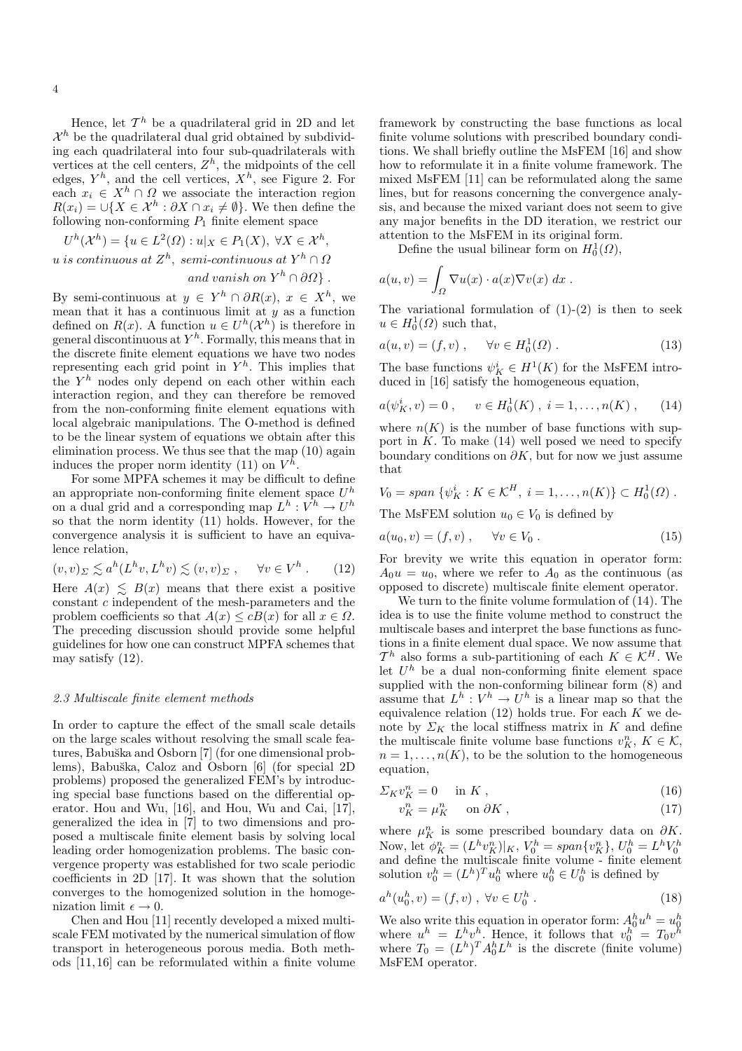Hence, let  $\mathcal{T}^h$  be a quadrilateral grid in 2D and let  $\mathcal{X}^h$  be the quadrilateral dual grid obtained by subdividing each quadrilateral into four sub-quadrilaterals with vertices at the cell centers,  $Z<sup>h</sup>$ , the midpoints of the cell edges,  $Y^h$ , and the cell vertices,  $X^h$ , see Figure 2. For each  $x_i \in X^h \cap \Omega$  we associate the interaction region  $R(x_i) = \bigcup \{ X \in \mathcal{X}^h : \partial X \cap x_i \neq \emptyset \}.$  We then define the following non-conforming  $P_1$  finite element space

$$
U^{h}(\mathcal{X}^{h}) = \{u \in L^{2}(\Omega) : u|_{X} \in P_{1}(X), \forall X \in \mathcal{X}^{h},
$$
  
u is continuous at  $Z^{h}$ , semi-continuous at  $Y^{h} \cap \Omega$   
and vanish on  $Y^{h} \cap \partial\Omega\}$ .

By semi-continuous at  $y \in Y^h \cap \partial R(x), x \in X^h$ , we mean that it has a continuous limit at  $y$  as a function defined on  $R(x)$ . A function  $u \in U^h(\mathcal{X}^h)$  is therefore in general discontinuous at  $Y^h$ . Formally, this means that in the discrete finite element equations we have two nodes representing each grid point in  $Y^h$ . This implies that the  $Y^h$  nodes only depend on each other within each interaction region, and they can therefore be removed from the non-conforming finite element equations with local algebraic manipulations. The O-method is defined to be the linear system of equations we obtain after this elimination process. We thus see that the map (10) again induces the proper norm identity (11) on  $V^h$ .

For some MPFA schemes it may be difficult to define an appropriate non-conforming finite element space  $U^h$ on a dual grid and a corresponding map  $L^h: V^h \to U^h$ so that the norm identity (11) holds. However, for the convergence analysis it is sufficient to have an equivalence relation,

$$
(v,v)_{\Sigma} \lesssim a^h(L^h v, L^h v) \lesssim (v,v)_{\Sigma}, \quad \forall v \in V^h.
$$
 (12)

Here  $A(x) \leq B(x)$  means that there exist a positive constant c independent of the mesh-parameters and the problem coefficients so that  $A(x) \leq cB(x)$  for all  $x \in \Omega$ . The preceding discussion should provide some helpful guidelines for how one can construct MPFA schemes that may satisfy (12).

#### 2.3 Multiscale finite element methods

In order to capture the effect of the small scale details on the large scales without resolving the small scale features, Babuška and Osborn [7] (for one dimensional problems), Babuška, Caloz and Osborn [6] (for special 2D) problems) proposed the generalized FEM's by introducing special base functions based on the differential operator. Hou and Wu, [16], and Hou, Wu and Cai, [17], generalized the idea in [7] to two dimensions and proposed a multiscale finite element basis by solving local leading order homogenization problems. The basic convergence property was established for two scale periodic coefficients in 2D [17]. It was shown that the solution converges to the homogenized solution in the homogenization limit  $\epsilon \to 0$ .

Chen and Hou [11] recently developed a mixed multiscale FEM motivated by the numerical simulation of flow transport in heterogeneous porous media. Both methods [11,16] can be reformulated within a finite volume framework by constructing the base functions as local finite volume solutions with prescribed boundary conditions. We shall briefly outline the MsFEM [16] and show how to reformulate it in a finite volume framework. The mixed MsFEM [11] can be reformulated along the same lines, but for reasons concerning the convergence analysis, and because the mixed variant does not seem to give any major benefits in the DD iteration, we restrict our attention to the MsFEM in its original form.

Define the usual bilinear form on  $H_0^1(\Omega)$ ,

$$
a(u,v) = \int_{\Omega} \nabla u(x) \cdot a(x) \nabla v(x) dx.
$$

The variational formulation of  $(1)-(2)$  is then to seek  $u \in H_0^1(\Omega)$  such that,

$$
a(u, v) = (f, v) , \quad \forall v \in H_0^1(\Omega) .
$$
 (13)

The base functions  $\psi_K^i \in H^1(K)$  for the MsFEM introduced in [16] satisfy the homogeneous equation,

$$
a(\psi_K^i, v) = 0 , \quad v \in H_0^1(K) , i = 1, ..., n(K) , \quad (14)
$$

where  $n(K)$  is the number of base functions with support in  $K$ . To make  $(14)$  well posed we need to specify boundary conditions on  $\partial K$ , but for now we just assume that

$$
V_0 = span \{ \psi_K^i : K \in \mathcal{K}^H, i = 1, ..., n(K) \} \subset H_0^1(\Omega) .
$$

The MsFEM solution  $u_0 \in V_0$  is defined by

$$
a(u_0, v) = (f, v), \quad \forall v \in V_0.
$$
\n
$$
(15)
$$

For brevity we write this equation in operator form:  $A_0u = u_0$ , where we refer to  $A_0$  as the continuous (as opposed to discrete) multiscale finite element operator.

We turn to the finite volume formulation of (14). The idea is to use the finite volume method to construct the multiscale bases and interpret the base functions as functions in a finite element dual space. We now assume that  $\mathcal{T}^h$  also forms a sub-partitioning of each  $K \in \mathcal{K}^H$ . We let  $U^h$  be a dual non-conforming finite element space supplied with the non-conforming bilinear form (8) and assume that  $L^h: V^h \to U^h$  is a linear map so that the equivalence relation  $(12)$  holds true. For each K we denote by  $\Sigma_K$  the local stiffness matrix in K and define the multiscale finite volume base functions  $v_K^n, K \in \mathcal{K}$ ,  $n = 1, \ldots, n(K)$ , to be the solution to the homogeneous equation,

$$
\Sigma_K v_K^n = 0 \quad \text{in } K \;, \tag{16}
$$

$$
v_K^n = \mu_K^n \quad \text{on } \partial K \,, \tag{17}
$$

where  $\mu_K^n$  is some prescribed boundary data on  $\partial K$ . Now, let  $\phi_K^n = (L^h v_K^n)|_K$ ,  $V_0^h = span\{v_K^n\}$ ,  $U_0^h = L^h V_0^h$ <br>and define the multiscale finite volume - finite element solution  $v_0^h = (L^h)^T u_0^h$  where  $u_0^h \in U_0^h$  is defined by

$$
a^{h}(u_0^h, v) = (f, v), \ \forall v \in U_0^h \ . \tag{18}
$$

We also write this equation in operator form:  $A_0^h u^h = u_0^h$ <br>where  $u^h = L^h v^h$ . Hence, it follows that  $v_0^h = T_0 v^h$ where  $T_0 = (L^h)^T A_0^h L^h$  is the discrete (finite volume) MsFEM operator.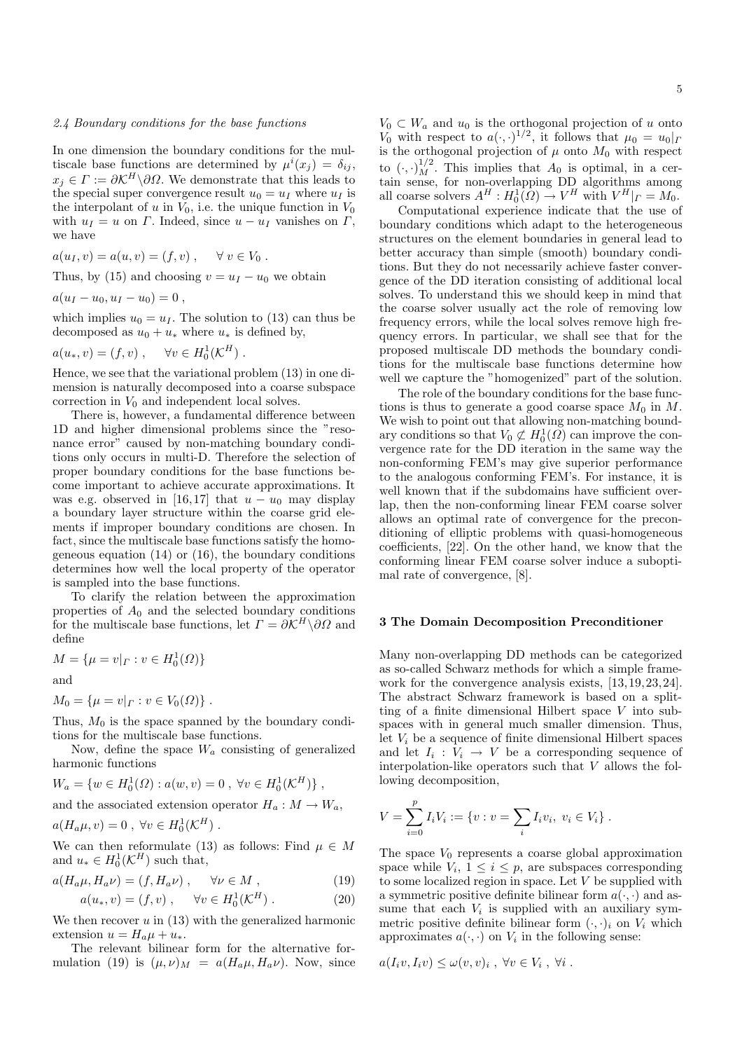# 2.4 Boundary conditions for the base functions

In one dimension the boundary conditions for the multiscale base functions are determined by  $\mu^{i}(x_j) = \delta_{ij}$ ,  $x_i \in \Gamma := \partial \mathcal{K}^H \backslash \partial \Omega$ . We demonstrate that this leads to the special super convergence result  $u_0 = u_I$  where  $u_I$  is the interpolant of u in  $V_0$ , i.e. the unique function in  $V_0$ with  $u_I = u$  on  $\Gamma$ . Indeed, since  $u - u_I$  vanishes on  $\Gamma$ , we have

 $a(u_I, v) = a(u, v) = (f, v), \quad \forall v \in V_0.$ 

Thus, by (15) and choosing  $v = u_I - u_0$  we obtain

$$
a(u_I - u_0, u_I - u_0) = 0,
$$

which implies  $u_0 = u_I$ . The solution to (13) can thus be decomposed as  $u_0 + u_*$  where  $u_*$  is defined by,

$$
a(u_*,v) = (f,v) , \quad \forall v \in H_0^1(\mathcal{K}^H) .
$$

Hence, we see that the variational problem (13) in one dimension is naturally decomposed into a coarse subspace correction in  $V_0$  and independent local solves.

There is, however, a fundamental difference between 1D and higher dimensional problems since the "resonance error" caused by non-matching boundary conditions only occurs in multi-D. Therefore the selection of proper boundary conditions for the base functions become important to achieve accurate approximations. It was e.g. observed in [16,17] that  $u - u_0$  may display a boundary layer structure within the coarse grid elements if improper boundary conditions are chosen. In fact, since the multiscale base functions satisfy the homogeneous equation  $(14)$  or  $(16)$ , the boundary conditions determines how well the local property of the operator is sampled into the base functions.

To clarify the relation between the approximation properties of  $A_0$  and the selected boundary conditions for the multiscale base functions, let  $\Gamma = \partial \mathcal{K}^H \backslash \partial \Omega$  and define

$$
M = \{ \mu = v |_{\Gamma} : v \in H_0^1(\Omega) \}
$$

and

$$
M_0 = \{ \mu = v|_{\Gamma} : v \in V_0(\Omega) \} .
$$

Thus,  $M_0$  is the space spanned by the boundary conditions for the multiscale base functions.

Now, define the space  $W_a$  consisting of generalized harmonic functions

$$
W_a = \{ w \in H_0^1(\Omega) : a(w, v) = 0 , \forall v \in H_0^1(\mathcal{K}^H) \},
$$

and the associated extension operator  $H_a: M \to W_a$ ,

$$
a(H_a\mu, v) = 0 , \forall v \in H_0^1(\mathcal{K}^H) .
$$

We can then reformulate (13) as follows: Find  $\mu \in M$ and  $u_* \in H_0^1(\mathcal{K}^H)$  such that,

$$
a(H_a\mu, H_a\nu) = (f, H_a\nu) , \quad \forall \nu \in M , \qquad (19)
$$

$$
a(u_*,v) = (f,v), \quad \forall v \in H_0^1(\mathcal{K}^H).
$$
 (20)

We then recover  $u$  in  $(13)$  with the generalized harmonic extension  $u = H_a \mu + u_*$ .

The relevant bilinear form for the alternative formulation (19) is  $(\mu, \nu)_M = a(H_a\mu, H_a\nu)$ . Now, since  $V_0 \subset W_a$  and  $u_0$  is the orthogonal projection of u onto  $V_0$  with respect to  $a(\cdot, \cdot)^{1/2}$ , it follows that  $\mu_0 = u_0|_{I}$ is the orthogonal projection of  $\mu$  onto  $M_0$  with respect to  $(\cdot, \cdot)^{1/2}_{M}$ . This implies that  $A_0$  is optimal, in a certain sense, for non-overlapping DD algorithms among all coarse solvers  $A^H : H_0^1(\Omega) \to V^H$  with  $V^H|_{\Gamma} = M_0$ .

Computational experience indicate that the use of boundary conditions which adapt to the heterogeneous structures on the element boundaries in general lead to better accuracy than simple (smooth) boundary conditions. But they do not necessarily achieve faster convergence of the DD iteration consisting of additional local solves. To understand this we should keep in mind that the coarse solver usually act the role of removing low frequency errors, while the local solves remove high frequency errors. In particular, we shall see that for the proposed multiscale DD methods the boundary conditions for the multiscale base functions determine how well we capture the "homogenized" part of the solution.

The role of the boundary conditions for the base functions is thus to generate a good coarse space  $M_0$  in  $M$ . We wish to point out that allowing non-matching boundary conditions so that  $V_0 \not\subset H_0^1(\Omega)$  can improve the convergence rate for the DD iteration in the same way the non-conforming FEM's may give superior performance to the analogous conforming FEM's. For instance, it is well known that if the subdomains have sufficient overlap, then the non-conforming linear FEM coarse solver allows an optimal rate of convergence for the preconditioning of elliptic problems with quasi-homogeneous coefficients, [22]. On the other hand, we know that the conforming linear FEM coarse solver induce a suboptimal rate of convergence, [8].

# 3 The Domain Decomposition Preconditioner

Many non-overlapping DD methods can be categorized as so-called Schwarz methods for which a simple framework for the convergence analysis exists, [13,19,23,24]. The abstract Schwarz framework is based on a splitting of a finite dimensional Hilbert space V into subspaces with in general much smaller dimension. Thus, let  $V_i$  be a sequence of finite dimensional Hilbert spaces and let  $I_i: V_i \to V$  be a corresponding sequence of interpolation-like operators such that V allows the following decomposition,

$$
V = \sum_{i=0}^{p} I_i V_i := \{ v : v = \sum_i I_i v_i, v_i \in V_i \}.
$$

The space  $V_0$  represents a coarse global approximation space while  $V_i$ ,  $1 \leq i \leq p$ , are subspaces corresponding to some localized region in space. Let V be supplied with a symmetric positive definite bilinear form  $a(\cdot, \cdot)$  and assume that each  $V_i$  is supplied with an auxiliary symmetric positive definite bilinear form  $(\cdot, \cdot)_i$  on  $V_i$  which approximates  $a(\cdot, \cdot)$  on  $V_i$  in the following sense:

$$
a(I_i v, I_i v) \leq \omega(v, v)_i , \forall v \in V_i , \forall i .
$$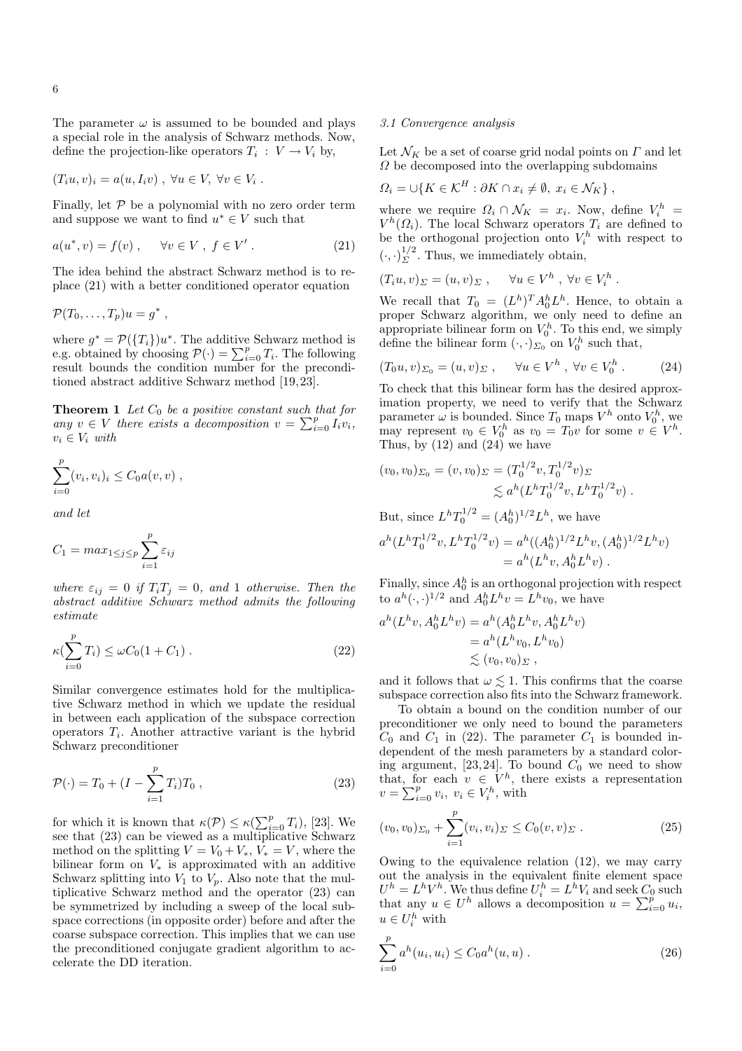The parameter  $\omega$  is assumed to be bounded and plays a special role in the analysis of Schwarz methods. Now, define the projection-like operators  $T_i: V \to V_i$  by,

$$
(T_i u, v)_i = a(u, I_i v), \forall u \in V, \forall v \in V_i
$$

Finally, let  $P$  be a polynomial with no zero order term and suppose we want to find  $u^* \in V$  such that

.

$$
a(u^*, v) = f(v) , \quad \forall v \in V , f \in V' .
$$
 (21)

The idea behind the abstract Schwarz method is to replace (21) with a better conditioned operator equation

$$
\mathcal{P}(T_0,\ldots,T_p)u=g^*,
$$

where  $g^* = \mathcal{P}(\lbrace T_i \rbrace)u^*$ . The additive Schwarz method is e.g. obtained by choosing  $\mathcal{P}(\cdot) = \sum_{i=0}^{p} T_i$ . The following result bounds the condition number for the preconditioned abstract additive Schwarz method [19,23].

**Theorem 1** Let  $C_0$  be a positive constant such that for any  $v \in V$  there exists a decomposition  $v = \sum_{i=0}^{p} I_i v_i$ ,  $v_i \in V_i$  with

$$
\sum_{i=0}^{p} (v_i, v_i)_i \le C_0 a(v, v) ,
$$

and let

$$
C_1 = \max_{1 \le j \le p} \sum_{i=1}^p \varepsilon_{ij}
$$

where  $\varepsilon_{ij} = 0$  if  $T_i T_j = 0$ , and 1 otherwise. Then the abstract additive Schwarz method admits the following estimate

$$
\kappa(\sum_{i=0}^{p} T_i) \le \omega C_0 (1 + C_1).
$$
 (22)

Similar convergence estimates hold for the multiplicative Schwarz method in which we update the residual in between each application of the subspace correction operators  $T_i$ . Another attractive variant is the hybrid Schwarz preconditioner

$$
\mathcal{P}(\cdot) = T_0 + (I - \sum_{i=1}^p T_i) T_0 , \qquad (23)
$$

for which it is known that  $\kappa(\mathcal{P}) \leq \kappa(\sum_{i=0}^p T_i)$ , [23]. We see that (23) can be viewed as a multiplicative Schwarz method on the splitting  $V = V_0 + V_*$ ,  $V_* = V$ , where the bilinear form on  $V_*$  is approximated with an additive Schwarz splitting into  $V_1$  to  $V_p$ . Also note that the multiplicative Schwarz method and the operator (23) can be symmetrized by including a sweep of the local subspace corrections (in opposite order) before and after the coarse subspace correction. This implies that we can use the preconditioned conjugate gradient algorithm to accelerate the DD iteration.

# 3.1 Convergence analysis

Let  $\mathcal{N}_K$  be a set of coarse grid nodal points on  $\Gamma$  and let  $\Omega$  be decomposed into the overlapping subdomains

$$
\Omega_i = \cup \{ K \in \mathcal{K}^H : \partial K \cap x_i \neq \emptyset, \ x_i \in \mathcal{N}_K \},
$$

where we require  $\Omega_i \cap \mathcal{N}_K = x_i$ . Now, define  $V_i^h$  $V^h(\Omega_i)$ . The local Schwarz operators  $T_i$  are defined to be the orthogonal projection onto  $V_i^h$  with respect to  $(\cdot, \cdot)^{1/2}_{\Sigma}$ . Thus, we immediately obtain,

$$
(T_i u, v)_\Sigma = (u, v)_\Sigma , \quad \forall u \in V^h , \forall v \in V_i^h .
$$

We recall that  $T_0 = (L^h)^T A_0^h L^h$ . Hence, to obtain a proper Schwarz algorithm, we only need to define an appropriate bilinear form on  $V_0^h$ . To this end, we simply define the bilinear form  $(\cdot, \cdot)_{\Sigma_0}$  on  $V_0^h$  such that,

$$
(T_0u, v)_{\Sigma_0} = (u, v)_{\Sigma} , \quad \forall u \in V^h , \forall v \in V_0^h .
$$
 (24)

To check that this bilinear form has the desired approximation property, we need to verify that the Schwarz parameter  $\omega$  is bounded. Since  $T_0$  maps  $V^h$  onto  $V_0^h$ , we may represent  $v_0 \in V_0^h$  as  $v_0 = T_0 v$  for some  $v \in V^h$ . Thus, by  $(12)$  and  $(24)$  we have

$$
(v_0, v_0)_{\Sigma_0} = (v, v_0)_{\Sigma} = (T_0^{1/2} v, T_0^{1/2} v)_{\Sigma}
$$
  
\$\leq\$  $a^h (L^h T_0^{1/2} v, L^h T_0^{1/2} v)$  .

But, since 
$$
L^h T_0^{1/2} = (A_0^h)^{1/2} L^h
$$
, we have  
\n
$$
a^h (L^h T_0^{1/2} v, L^h T_0^{1/2} v) = a^h ((A_0^h)^{1/2} L^h v, (A_0^h)^{1/2} L^h v)
$$
\n
$$
= a^h (L^h v, A_0^h L^h v) .
$$

Finally, since  $A_0^h$  is an orthogonal projection with respect to  $a^h(\cdot, \cdot)^{1/2}$  and  $A_0^h L^h v = L^h v_0$ , we have

$$
a^h(L^h v, A_0^h L^h v) = a^h(A_0^h L^h v, A_0^h L^h v)
$$
  
=  $a^h(L^h v_0, L^h v_0)$   
 $\leq (v_0, v_0) \geq$ ,

and it follows that  $\omega \lesssim 1$ . This confirms that the coarse subspace correction also fits into the Schwarz framework.

To obtain a bound on the condition number of our preconditioner we only need to bound the parameters  $C_0$  and  $C_1$  in (22). The parameter  $C_1$  is bounded independent of the mesh parameters by a standard coloring argument, [23,24]. To bound  $C_0$  we need to show that, for each  $v \in V^h$ , there exists a representation  $v = \sum_{i=0}^{p} v_i, v_i \in V_i^h$ , with

$$
(v_0, v_0)_{\Sigma_0} + \sum_{i=1}^p (v_i, v_i)_{\Sigma} \le C_0(v, v)_{\Sigma} .
$$
 (25)

Owing to the equivalence relation (12), we may carry out the analysis in the equivalent finite element space  $U^h = L^h V^h$ . We thus define  $U_i^h = L^h V_i$  and seek  $C_0$  such that any  $u \in U^h$  allows a decomposition  $u = \sum_{i=0}^{\tilde{p}} u_i$ ,  $u \in U_i^h$  with

$$
\sum_{i=0}^{p} a^{h}(u_i, u_i) \le C_0 a^{h}(u, u) . \tag{26}
$$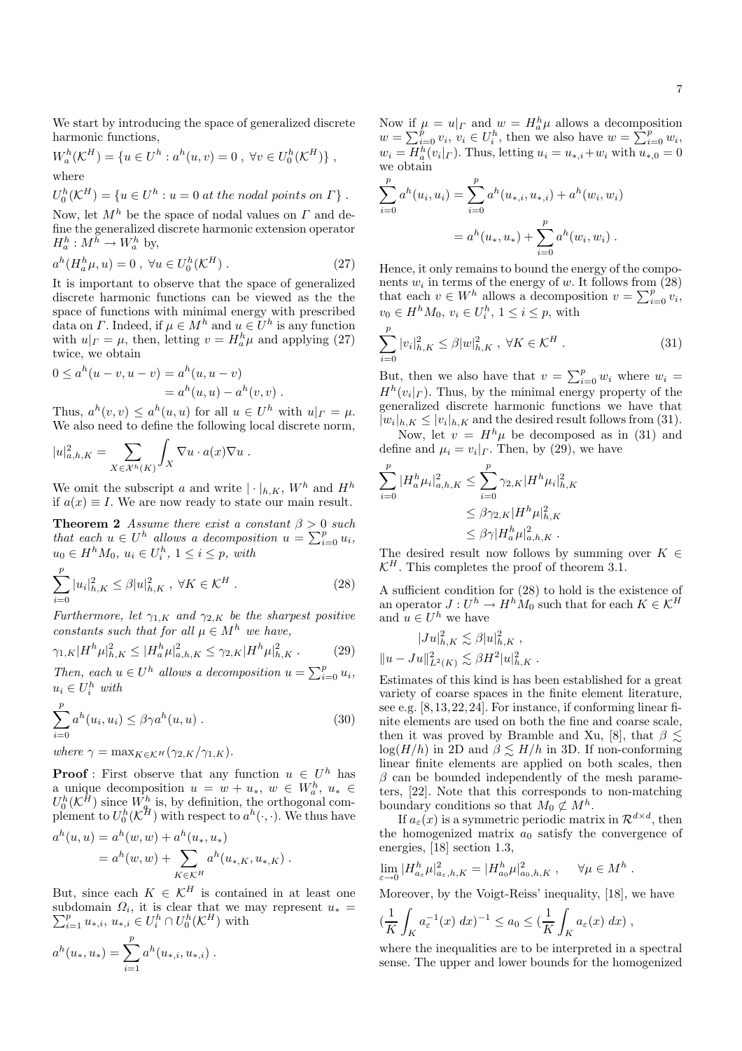We start by introducing the space of generalized discrete harmonic functions,

$$
W_a^h(\mathcal{K}^H) = \{ u \in U^h : a^h(u, v) = 0 , \ \forall v \in U_0^h(\mathcal{K}^H) \},
$$
  
where

$$
U_0^h(\mathcal{K}^H) = \{ u \in U^h : u = 0 \text{ at the nodal points on } \Gamma \} .
$$

Now, let  $M^h$  be the space of nodal values on  $\varGamma$  and define the generalized discrete harmonic extension operator  $H_a^h: M^h \to W_a^h$  by,

$$
a^{h}(H_{a}^{h}\mu, u) = 0, \ \forall u \in U_{0}^{h}(\mathcal{K}^{H}).
$$
\n(27)

It is important to observe that the space of generalized discrete harmonic functions can be viewed as the the space of functions with minimal energy with prescribed data on  $\Gamma$ . Indeed, if  $\mu \in M^h$  and  $u \in U^h$  is any function with  $u|_{\Gamma} = \mu$ , then, letting  $v = H_a^h \mu$  and applying (27) twice, we obtain

$$
0 \le a^h (u - v, u - v) = a^h (u, u - v)
$$
  
=  $a^h (u, u) - a^h (v, v)$ .

Thus,  $a^h(v, v) \leq a^h(u, u)$  for all  $u \in U^h$  with  $u|_{\Gamma} = \mu$ . We also need to define the following local discrete norm,

$$
|u|^2_{a,h,K} = \sum_{X \in \mathcal{X}^h(K)} \int_X \nabla u \cdot a(x) \nabla u.
$$

We omit the subscript a and write  $|\cdot|_{h,K}$ ,  $W^h$  and  $H^h$ if  $a(x) \equiv I$ . We are now ready to state our main result.

**Theorem 2** Assume there exist a constant  $\beta > 0$  such that each  $u \in U^h$  allows a decomposition  $u = \sum_{i=0}^p u_i$ ,  $u_0 \in H^h M_0$ ,  $u_i \in U_i^h$ ,  $1 \leq i \leq p$ , with

$$
\sum_{i=0}^{p} |u_i|_{h,K}^2 \le \beta |u|_{h,K}^2, \ \forall K \in \mathcal{K}^H.
$$
 (28)

Furthermore, let  $\gamma_{1,K}$  and  $\gamma_{2,K}$  be the sharpest positive constants such that for all  $\mu \in M^h$  we have,

$$
\gamma_{1,K}|H^h\mu|_{h,K}^2 \le |H_a^h\mu|_{a,h,K}^2 \le \gamma_{2,K}|H^h\mu|_{h,K}^2. \tag{29}
$$

Then, each  $u \in U^h$  allows a decomposition  $u = \sum_{i=0}^p u_i$ ,  $u_i \in U_i^h$  with

$$
\sum_{i=0}^{p} a^{h}(u_{i}, u_{i}) \leq \beta \gamma a^{h}(u, u) .
$$
\n(30)

\nwhere  $\gamma = \max_{K \in \mathcal{K}^{H}} (\gamma_{2,K}/\gamma_{1,K}).$ 

**Proof**: First observe that any function  $u \in U^h$  has a unique decomposition  $u = w + u_*$ ,  $w \in W_a^h$ ,  $u_* \in$  $U_0^h(\mathcal{K}^H)$  since  $W_q^h$  is, by definition, the orthogonal complement to  $U_0^h(\mathcal{K}^H)$  with respect to  $a^h(\cdot, \cdot)$ . We thus have

$$
a^{h}(u, u) = a^{h}(w, w) + a^{h}(u_{*}, u_{*})
$$
  
=  $a^{h}(w, w) + \sum_{K \in \mathcal{K}^{H}} a^{h}(u_{*, K}, u_{*, K}).$ 

But, since each  $K \in \mathcal{K}^H$  is contained in at least one subdomain  $\Omega_i$ , it is clear that we may represent  $u_* = \sum_{i=1}^p u_{*,i}, u_{*,i} \in U_i^h \cap U_0^h(K^H)$  with  $\sum_{i=1}^p u_{*,i}, u_{*,i} \in U_i^h \cap U_0^h(\mathcal{K}^H)$  with

$$
a^h(u_*, u_*) = \sum_{i=1}^p a^h(u_{*,i}, u_{*,i}) .
$$

Now if  $\mu = u|_{\Gamma}$  and  $w = H_a^h \mu$  allows a decomposition  $w = \sum_{i=0}^{p} v_i, v_i \in U_i^h$ , then we also have  $w = \sum_{i=0}^{p} w_i$ ,  $w_i = H_a^h(v_i|_{\Gamma})$ . Thus, letting  $u_i = u_{*,i} + w_i$  with  $u_{*,0} = 0$ we obtain

$$
\sum_{i=0}^{p} a^{h}(u_{i}, u_{i}) = \sum_{i=0}^{p} a^{h}(u_{*,i}, u_{*,i}) + a^{h}(w_{i}, w_{i})
$$

$$
= a^{h}(u_{*}, u_{*}) + \sum_{i=0}^{p} a^{h}(w_{i}, w_{i}).
$$

Hence, it only remains to bound the energy of the components  $w_i$  in terms of the energy of w. It follows from  $(28)$ that each  $v \in W^h$  allows a decomposition  $v = \sum_{i=0}^p v_i$ ,  $v_0 \in H^h M_0$ ,  $v_i \in U_i^h$ ,  $1 \leq i \leq p$ , with

$$
\sum_{i=0}^{p} |v_i|_{h,K}^2 \le \beta |w|_{h,K}^2, \ \forall K \in \mathcal{K}^H.
$$
 (31)

But, then we also have that  $v = \sum_{i=0}^{p} w_i$  where  $w_i =$  $H^h(v_i|_{\Gamma})$ . Thus, by the minimal energy property of the generalized discrete harmonic functions we have that  $|w_i|_{h,K} \leq |v_i|_{h,K}$  and the desired result follows from (31).

Now, let  $v = H^h \mu$  be decomposed as in (31) and define and  $\mu_i = v_i |_{\Gamma}$ . Then, by (29), we have

$$
\sum_{i=0}^{p} |H_{a}^{h}\mu_{i}|_{a,h,K}^{2} \leq \sum_{i=0}^{p} \gamma_{2,K} |H^{h}\mu_{i}|_{h,K}^{2}
$$
  

$$
\leq \beta \gamma_{2,K} |H^{h}\mu|_{h,K}^{2}
$$
  

$$
\leq \beta \gamma |H_{a}^{h}\mu|_{a,h,K}^{2}.
$$

The desired result now follows by summing over  $K \in$  $\mathcal{K}^H$ . This completes the proof of theorem 3.1.

A sufficient condition for (28) to hold is the existence of an operator  $J: U^h \to H^h M_0$  such that for each  $K \in \mathcal{K}^H$ and  $u \in U^h$  we have

$$
|Ju|_{h,K}^2 \lesssim \beta |u|_{h,K}^2,
$$
  

$$
||u - Ju||_{L^2(K)}^2 \lesssim \beta H^2 |u|_{h,K}^2.
$$

Estimates of this kind is has been established for a great variety of coarse spaces in the finite element literature, see e.g. [8,13,22,24]. For instance, if conforming linear finite elements are used on both the fine and coarse scale, then it was proved by Bramble and Xu, [8], that  $\beta \leq$  $log(H/h)$  in 2D and  $\beta \lesssim H/h$  in 3D. If non-conforming linear finite elements are applied on both scales, then  $\beta$  can be bounded independently of the mesh parameters, [22]. Note that this corresponds to non-matching boundary conditions so that  $M_0 \not\subset M^h$ .

If  $a_{\varepsilon}(x)$  is a symmetric periodic matrix in  $\mathcal{R}^{d \times d}$ , then the homogenized matrix  $a_0$  satisfy the convergence of energies, [18] section 1.3,

$$
\lim_{\varepsilon \to 0} |H_{a_{\varepsilon}}^h \mu|_{a_{\varepsilon},h,K}^2 = |H_{a_0}^h \mu|_{a_0,h,K}^2 , \quad \forall \mu \in M^h
$$

Moreover, by the Voigt-Reiss' inequality, [18], we have

.

$$
(\frac{1}{K}\int_K a_{\varepsilon}^{-1}(x) dx)^{-1} \le a_0 \le (\frac{1}{K}\int_K a_{\varepsilon}(x) dx),
$$

where the inequalities are to be interpreted in a spectral sense. The upper and lower bounds for the homogenized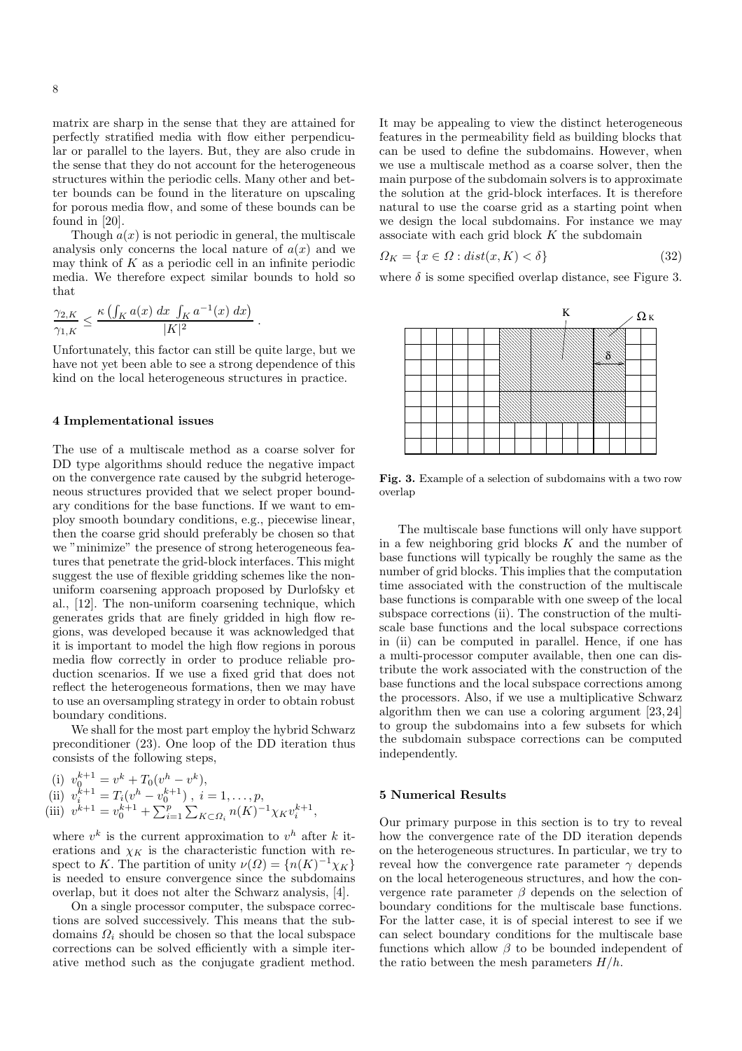matrix are sharp in the sense that they are attained for perfectly stratified media with flow either perpendicular or parallel to the layers. But, they are also crude in the sense that they do not account for the heterogeneous structures within the periodic cells. Many other and better bounds can be found in the literature on upscaling for porous media flow, and some of these bounds can be found in [20].

Though  $a(x)$  is not periodic in general, the multiscale analysis only concerns the local nature of  $a(x)$  and we may think of  $K$  as a periodic cell in an infinite periodic media. We therefore expect similar bounds to hold so that

$$
\frac{\gamma_{2,K}}{\gamma_{1,K}} \leq \frac{\kappa \left( \int_K a(x) \ dx \ \int_K a^{-1}(x) \ dx \right)}{|K|^2}
$$

Unfortunately, this factor can still be quite large, but we have not yet been able to see a strong dependence of this kind on the local heterogeneous structures in practice.

.

### 4 Implementational issues

The use of a multiscale method as a coarse solver for DD type algorithms should reduce the negative impact on the convergence rate caused by the subgrid heterogeneous structures provided that we select proper boundary conditions for the base functions. If we want to employ smooth boundary conditions, e.g., piecewise linear, then the coarse grid should preferably be chosen so that we "minimize" the presence of strong heterogeneous features that penetrate the grid-block interfaces. This might suggest the use of flexible gridding schemes like the nonuniform coarsening approach proposed by Durlofsky et al., [12]. The non-uniform coarsening technique, which generates grids that are finely gridded in high flow regions, was developed because it was acknowledged that it is important to model the high flow regions in porous media flow correctly in order to produce reliable production scenarios. If we use a fixed grid that does not reflect the heterogeneous formations, then we may have to use an oversampling strategy in order to obtain robust boundary conditions.

We shall for the most part employ the hybrid Schwarz preconditioner (23). One loop of the DD iteration thus consists of the following steps,

(i) 
$$
v_0^{k+1} = v^k + T_0(v^h - v^k)
$$
,  
\n(ii)  $v_i^{k+1} = T_i(v^h - v_0^{k+1})$ ,  $i = 1, ..., p$ ,  
\n(iii)  $v^{k+1} = v_0^{k+1} + \sum_{i=1}^p \sum_{K \subset \Omega_i} n(K)^{-1} \chi_K v_i^{k+1}$ ,

where  $v^k$  is the current approximation to  $v^h$  after k iterations and  $\chi_K$  is the characteristic function with respect to K. The partition of unity  $\nu(\Omega) = \{n(K)^{-1}\chi_K\}$ is needed to ensure convergence since the subdomains overlap, but it does not alter the Schwarz analysis, [4].

On a single processor computer, the subspace corrections are solved successively. This means that the subdomains  $\Omega_i$  should be chosen so that the local subspace corrections can be solved efficiently with a simple iterative method such as the conjugate gradient method. It may be appealing to view the distinct heterogeneous features in the permeability field as building blocks that can be used to define the subdomains. However, when we use a multiscale method as a coarse solver, then the main purpose of the subdomain solvers is to approximate the solution at the grid-block interfaces. It is therefore natural to use the coarse grid as a starting point when we design the local subdomains. For instance we may associate with each grid block  $K$  the subdomain

$$
\Omega_K = \{ x \in \Omega : dist(x, K) < \delta \} \tag{32}
$$

where  $\delta$  is some specified overlap distance, see Figure 3.



Fig. 3. Example of a selection of subdomains with a two row overlap

The multiscale base functions will only have support in a few neighboring grid blocks  $K$  and the number of base functions will typically be roughly the same as the number of grid blocks. This implies that the computation time associated with the construction of the multiscale base functions is comparable with one sweep of the local subspace corrections (ii). The construction of the multiscale base functions and the local subspace corrections in (ii) can be computed in parallel. Hence, if one has a multi-processor computer available, then one can distribute the work associated with the construction of the base functions and the local subspace corrections among the processors. Also, if we use a multiplicative Schwarz algorithm then we can use a coloring argument [23,24] to group the subdomains into a few subsets for which the subdomain subspace corrections can be computed independently.

### 5 Numerical Results

Our primary purpose in this section is to try to reveal how the convergence rate of the DD iteration depends on the heterogeneous structures. In particular, we try to reveal how the convergence rate parameter  $\gamma$  depends on the local heterogeneous structures, and how the convergence rate parameter  $\beta$  depends on the selection of boundary conditions for the multiscale base functions. For the latter case, it is of special interest to see if we can select boundary conditions for the multiscale base functions which allow  $\beta$  to be bounded independent of the ratio between the mesh parameters  $H/h$ .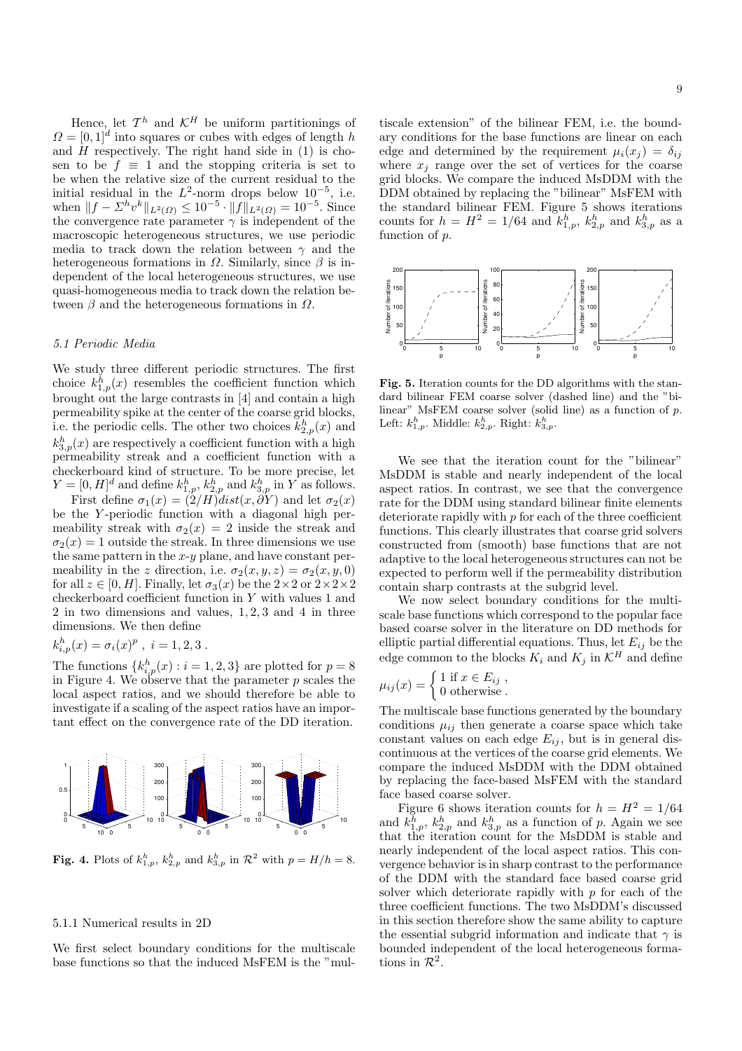Hence, let  $\mathcal{T}^h$  and  $\mathcal{K}^H$  be uniform partitionings of  $\Omega = [0, 1]^d$  into squares or cubes with edges of length h and  $H$  respectively. The right hand side in  $(1)$  is chosen to be  $f \equiv 1$  and the stopping criteria is set to be when the relative size of the current residual to the initial residual in the  $L^2$ -norm drops below  $10^{-5}$ , i.e. when  $||f - \Sigma^h v^k||_{L^2(\Omega)} \leq 10^{-5} \cdot ||f||_{L^2(\Omega)} = 10^{-5}$ . Since the convergence rate parameter  $\gamma$  is independent of the macroscopic heterogeneous structures, we use periodic media to track down the relation between  $\gamma$  and the heterogeneous formations in  $\Omega$ . Similarly, since  $\beta$  is independent of the local heterogeneous structures, we use quasi-homogeneous media to track down the relation between  $\beta$  and the heterogeneous formations in  $\Omega$ .

#### 5.1 Periodic Media

We study three different periodic structures. The first choice  $k_{1,p}^h(x)$  resembles the coefficient function which brought out the large contrasts in [4] and contain a high permeability spike at the center of the coarse grid blocks, i.e. the periodic cells. The other two choices  $k_{2,p}^h(x)$  and  $k_{3,p}^h(x)$  are respectively a coefficient function with a high permeability streak and a coefficient function with a checkerboard kind of structure. To be more precise, let  $Y = [0, H]^d$  and define  $k_{1,p}^h$ ,  $k_{2,p}^h$  and  $k_{3,p}^h$  in Y as follows.

First define  $\sigma_1(x) = (\frac{2}{H})$ dist $(x, \frac{\partial Y}{\partial y})$  and let  $\sigma_2(x)$ be the Y-periodic function with a diagonal high permeability streak with  $\sigma_2(x) = 2$  inside the streak and  $\sigma_2(x) = 1$  outside the streak. In three dimensions we use the same pattern in the  $x-y$  plane, and have constant permeability in the z direction, i.e.  $\sigma_2(x, y, z) = \sigma_2(x, y, 0)$ for all  $z \in [0, H]$ . Finally, let  $\sigma_3(x)$  be the  $2 \times 2$  or  $2 \times 2 \times 2$ checkerboard coefficient function in Y with values 1 and 2 in two dimensions and values, 1, 2, 3 and 4 in three dimensions. We then define

$$
k_{i,p}^h(x) = \sigma_i(x)^p , i = 1,2,3 .
$$

The functions  $\{k_{i,p}^h(x) : i = 1, 2, 3\}$  are plotted for  $p = 8$ in Figure 4. We observe that the parameter  $p$  scales the local aspect ratios, and we should therefore be able to investigate if a scaling of the aspect ratios have an important effect on the convergence rate of the DD iteration.



**Fig. 4.** Plots of  $k_{1,p}^h$ ,  $k_{2,p}^h$  and  $k_{3,p}^h$  in  $\mathcal{R}^2$  with  $p = H/h = 8$ .

# 5.1.1 Numerical results in 2D

We first select boundary conditions for the multiscale base functions so that the induced MsFEM is the "multiscale extension" of the bilinear FEM, i.e. the boundary conditions for the base functions are linear on each edge and determined by the requirement  $\mu_i(x_i) = \delta_{ij}$ where  $x_j$  range over the set of vertices for the coarse grid blocks. We compare the induced MsDDM with the DDM obtained by replacing the "bilinear" MsFEM with the standard bilinear FEM. Figure 5 shows iterations counts for  $h = H^2 = 1/64$  and  $k_{1,p}^h$ ,  $k_{2,p}^h$  and  $k_{3,p}^h$  as a function of p.



Fig. 5. Iteration counts for the DD algorithms with the standard bilinear FEM coarse solver (dashed line) and the "bilinear" MsFEM coarse solver (solid line) as a function of p. Left:  $k_{1,p}^h$ . Middle:  $k_{2,p}^h$ . Right:  $k_{3,p}^h$ .

We see that the iteration count for the "bilinear" MsDDM is stable and nearly independent of the local aspect ratios. In contrast, we see that the convergence rate for the DDM using standard bilinear finite elements deteriorate rapidly with p for each of the three coefficient functions. This clearly illustrates that coarse grid solvers constructed from (smooth) base functions that are not adaptive to the local heterogeneous structures can not be expected to perform well if the permeability distribution contain sharp contrasts at the subgrid level.

We now select boundary conditions for the multiscale base functions which correspond to the popular face based coarse solver in the literature on DD methods for elliptic partial differential equations. Thus, let  $E_{ij}$  be the edge common to the blocks  $K_i$  and  $K_j$  in  $\mathcal{K}^H$  and define

$$
\mu_{ij}(x) = \begin{cases} 1 \text{ if } x \in E_{ij} , \\ 0 \text{ otherwise.} \end{cases}
$$

The multiscale base functions generated by the boundary conditions  $\mu_{ij}$  then generate a coarse space which take constant values on each edge  $E_{ij}$ , but is in general discontinuous at the vertices of the coarse grid elements. We compare the induced MsDDM with the DDM obtained by replacing the face-based MsFEM with the standard face based coarse solver.

Figure 6 shows iteration counts for  $h = H^2 = 1/64$ and  $k_{1,p}^h$ ,  $k_{2,p}^h$  and  $k_{3,p}^h$  as a function of p. Again we see that the iteration count for the MsDDM is stable and nearly independent of the local aspect ratios. This convergence behavior is in sharp contrast to the performance of the DDM with the standard face based coarse grid solver which deteriorate rapidly with  $p$  for each of the three coefficient functions. The two MsDDM's discussed in this section therefore show the same ability to capture the essential subgrid information and indicate that  $\gamma$  is bounded independent of the local heterogeneous formations in  $\mathcal{R}^2$ .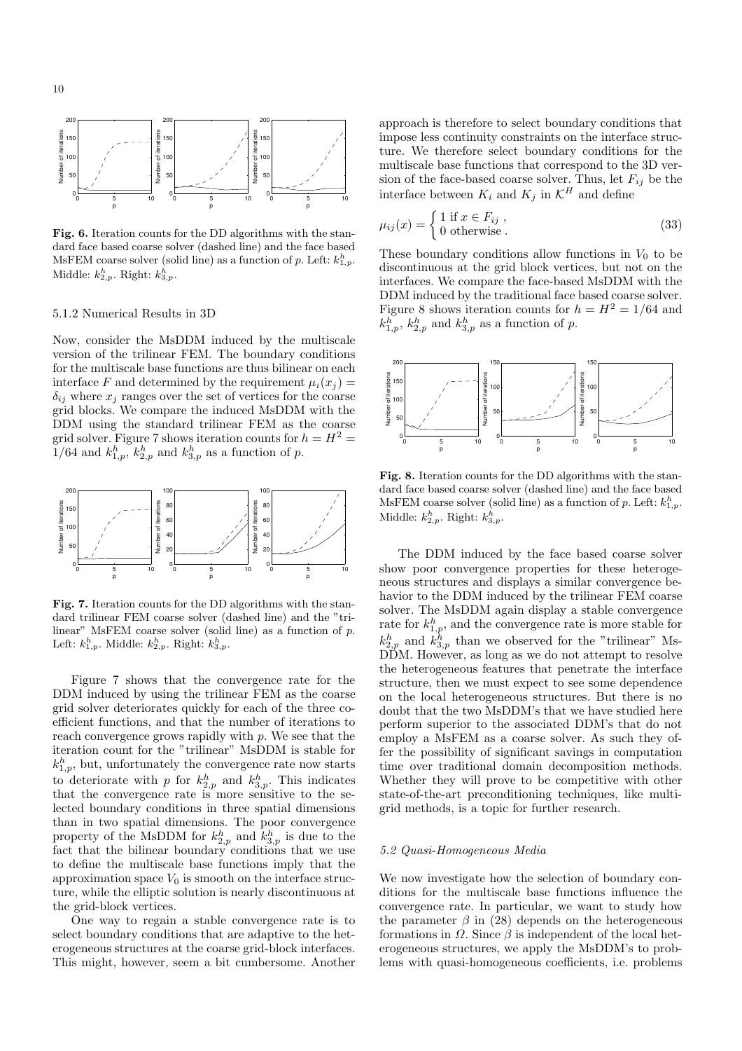

Fig. 6. Iteration counts for the DD algorithms with the standard face based coarse solver (dashed line) and the face based MsFEM coarse solver (solid line) as a function of p. Left:  $k_{1,p}^h$ . Middle:  $k_{2,p}^h$ . Right:  $k_{3,p}^h$ .

#### 5.1.2 Numerical Results in 3D

Now, consider the MsDDM induced by the multiscale version of the trilinear FEM. The boundary conditions for the multiscale base functions are thus bilinear on each interface F and determined by the requirement  $\mu_i(x_i) =$  $\delta_{ij}$  where  $x_j$  ranges over the set of vertices for the coarse grid blocks. We compare the induced MsDDM with the DDM using the standard trilinear FEM as the coarse grid solver. Figure 7 shows iteration counts for  $h = H^2 =$  $1/64$  and  $k_{1,p}^h$ ,  $k_{2,p}^h$  and  $k_{3,p}^h$  as a function of p.



Fig. 7. Iteration counts for the DD algorithms with the standard trilinear FEM coarse solver (dashed line) and the "trilinear" MsFEM coarse solver (solid line) as a function of p. Left:  $k_{1,p}^h$ . Middle:  $k_{2,p}^h$ . Right:  $k_{3,p}^h$ .

Figure 7 shows that the convergence rate for the DDM induced by using the trilinear FEM as the coarse grid solver deteriorates quickly for each of the three coefficient functions, and that the number of iterations to reach convergence grows rapidly with  $p$ . We see that the iteration count for the "trilinear" MsDDM is stable for  $k_{1,p}^h$ , but, unfortunately the convergence rate now starts to deteriorate with p for  $k_{2,p}^h$  and  $k_{3,p}^h$ . This indicates that the convergence rate is more sensitive to the selected boundary conditions in three spatial dimensions than in two spatial dimensions. The poor convergence property of the MsDDM for  $k_{2,p}^h$  and  $k_{3,p}^h$  is due to the fact that the bilinear boundary conditions that we use to define the multiscale base functions imply that the approximation space  $V_0$  is smooth on the interface structure, while the elliptic solution is nearly discontinuous at the grid-block vertices.

One way to regain a stable convergence rate is to select boundary conditions that are adaptive to the heterogeneous structures at the coarse grid-block interfaces. This might, however, seem a bit cumbersome. Another approach is therefore to select boundary conditions that impose less continuity constraints on the interface structure. We therefore select boundary conditions for the multiscale base functions that correspond to the 3D version of the face-based coarse solver. Thus, let  $F_{ij}$  be the interface between  $K_i$  and  $K_j$  in  $\mathcal{K}^H$  and define

$$
\mu_{ij}(x) = \begin{cases} 1 \text{ if } x \in F_{ij} , \\ 0 \text{ otherwise.} \end{cases}
$$
 (33)

These boundary conditions allow functions in  $V_0$  to be discontinuous at the grid block vertices, but not on the interfaces. We compare the face-based MsDDM with the DDM induced by the traditional face based coarse solver. Figure 8 shows iteration counts for  $h = H^2 = 1/64$  and  $k_{1,p}^h$ ,  $k_{2,p}^h$  and  $k_{3,p}^h$  as a function of p.



Fig. 8. Iteration counts for the DD algorithms with the standard face based coarse solver (dashed line) and the face based MsFEM coarse solver (solid line) as a function of p. Left:  $k_{1,p}^h$ . Middle:  $k_{2,p}^h$ . Right:  $k_{3,p}^h$ .

The DDM induced by the face based coarse solver show poor convergence properties for these heterogeneous structures and displays a similar convergence behavior to the DDM induced by the trilinear FEM coarse solver. The MsDDM again display a stable convergence rate for  $k_{1,p}^h$ , and the convergence rate is more stable for  $k_{2,p}^h$  and  $k_{3,p}^h$  than we observed for the "trilinear" Ms-DDM. However, as long as we do not attempt to resolve the heterogeneous features that penetrate the interface structure, then we must expect to see some dependence on the local heterogeneous structures. But there is no doubt that the two MsDDM's that we have studied here perform superior to the associated DDM's that do not employ a MsFEM as a coarse solver. As such they offer the possibility of significant savings in computation time over traditional domain decomposition methods. Whether they will prove to be competitive with other state-of-the-art preconditioning techniques, like multigrid methods, is a topic for further research.

#### 5.2 Quasi-Homogeneous Media

We now investigate how the selection of boundary conditions for the multiscale base functions influence the convergence rate. In particular, we want to study how the parameter  $\beta$  in (28) depends on the heterogeneous formations in  $\Omega$ . Since  $\beta$  is independent of the local heterogeneous structures, we apply the MsDDM's to problems with quasi-homogeneous coefficients, i.e. problems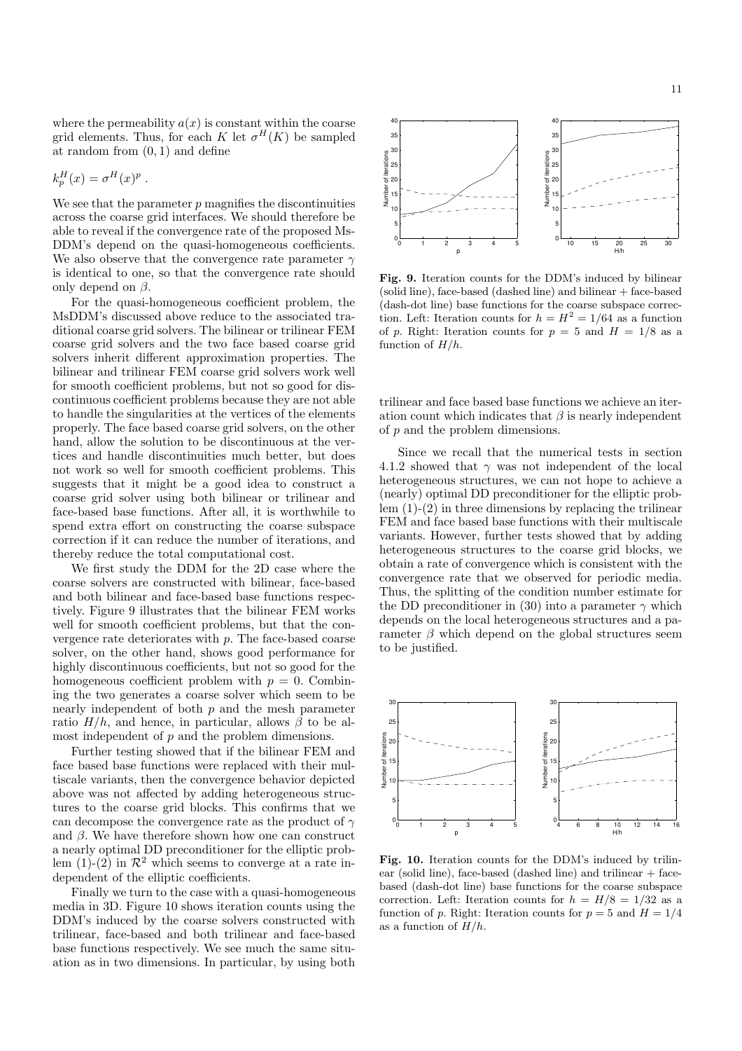where the permeability  $a(x)$  is constant within the coarse grid elements. Thus, for each K let  $\sigma^H(K)$  be sampled at random from  $(0, 1)$  and define

$$
k_p^H(x) = \sigma^H(x)^p.
$$

We see that the parameter  $p$  magnifies the discontinuities across the coarse grid interfaces. We should therefore be able to reveal if the convergence rate of the proposed Ms-DDM's depend on the quasi-homogeneous coefficients. We also observe that the convergence rate parameter  $\gamma$ is identical to one, so that the convergence rate should only depend on  $\beta$ .

For the quasi-homogeneous coefficient problem, the MsDDM's discussed above reduce to the associated traditional coarse grid solvers. The bilinear or trilinear FEM coarse grid solvers and the two face based coarse grid solvers inherit different approximation properties. The bilinear and trilinear FEM coarse grid solvers work well for smooth coefficient problems, but not so good for discontinuous coefficient problems because they are not able to handle the singularities at the vertices of the elements properly. The face based coarse grid solvers, on the other hand, allow the solution to be discontinuous at the vertices and handle discontinuities much better, but does not work so well for smooth coefficient problems. This suggests that it might be a good idea to construct a coarse grid solver using both bilinear or trilinear and face-based base functions. After all, it is worthwhile to spend extra effort on constructing the coarse subspace correction if it can reduce the number of iterations, and thereby reduce the total computational cost.

We first study the DDM for the 2D case where the coarse solvers are constructed with bilinear, face-based and both bilinear and face-based base functions respectively. Figure 9 illustrates that the bilinear FEM works well for smooth coefficient problems, but that the convergence rate deteriorates with p. The face-based coarse solver, on the other hand, shows good performance for highly discontinuous coefficients, but not so good for the homogeneous coefficient problem with  $p = 0$ . Combining the two generates a coarse solver which seem to be nearly independent of both  $p$  and the mesh parameter ratio  $H/h$ , and hence, in particular, allows  $\beta$  to be almost independent of  $p$  and the problem dimensions.

Further testing showed that if the bilinear FEM and face based base functions were replaced with their multiscale variants, then the convergence behavior depicted above was not affected by adding heterogeneous structures to the coarse grid blocks. This confirms that we can decompose the convergence rate as the product of  $\gamma$ and  $\beta$ . We have therefore shown how one can construct a nearly optimal DD preconditioner for the elliptic problem (1)-(2) in  $\mathcal{R}^2$  which seems to converge at a rate independent of the elliptic coefficients.

Finally we turn to the case with a quasi-homogeneous media in 3D. Figure 10 shows iteration counts using the DDM's induced by the coarse solvers constructed with trilinear, face-based and both trilinear and face-based base functions respectively. We see much the same situation as in two dimensions. In particular, by using both



Fig. 9. Iteration counts for the DDM's induced by bilinear (solid line), face-based (dashed line) and bilinear + face-based (dash-dot line) base functions for the coarse subspace correction. Left: Iteration counts for  $h = H^2 = 1/64$  as a function of p. Right: Iteration counts for  $p = 5$  and  $H = 1/8$  as a function of  $H/h$ .

trilinear and face based base functions we achieve an iteration count which indicates that  $\beta$  is nearly independent of  $p$  and the problem dimensions.

Since we recall that the numerical tests in section 4.1.2 showed that  $\gamma$  was not independent of the local heterogeneous structures, we can not hope to achieve a (nearly) optimal DD preconditioner for the elliptic problem (1)-(2) in three dimensions by replacing the trilinear FEM and face based base functions with their multiscale variants. However, further tests showed that by adding heterogeneous structures to the coarse grid blocks, we obtain a rate of convergence which is consistent with the convergence rate that we observed for periodic media. Thus, the splitting of the condition number estimate for the DD preconditioner in (30) into a parameter  $\gamma$  which depends on the local heterogeneous structures and a parameter  $\beta$  which depend on the global structures seem to be justified.



Fig. 10. Iteration counts for the DDM's induced by trilinear (solid line), face-based (dashed line) and trilinear  $+$  facebased (dash-dot line) base functions for the coarse subspace correction. Left: Iteration counts for  $h = H/8 = 1/32$  as a function of p. Right: Iteration counts for  $p = 5$  and  $H = 1/4$ as a function of  $H/h$ .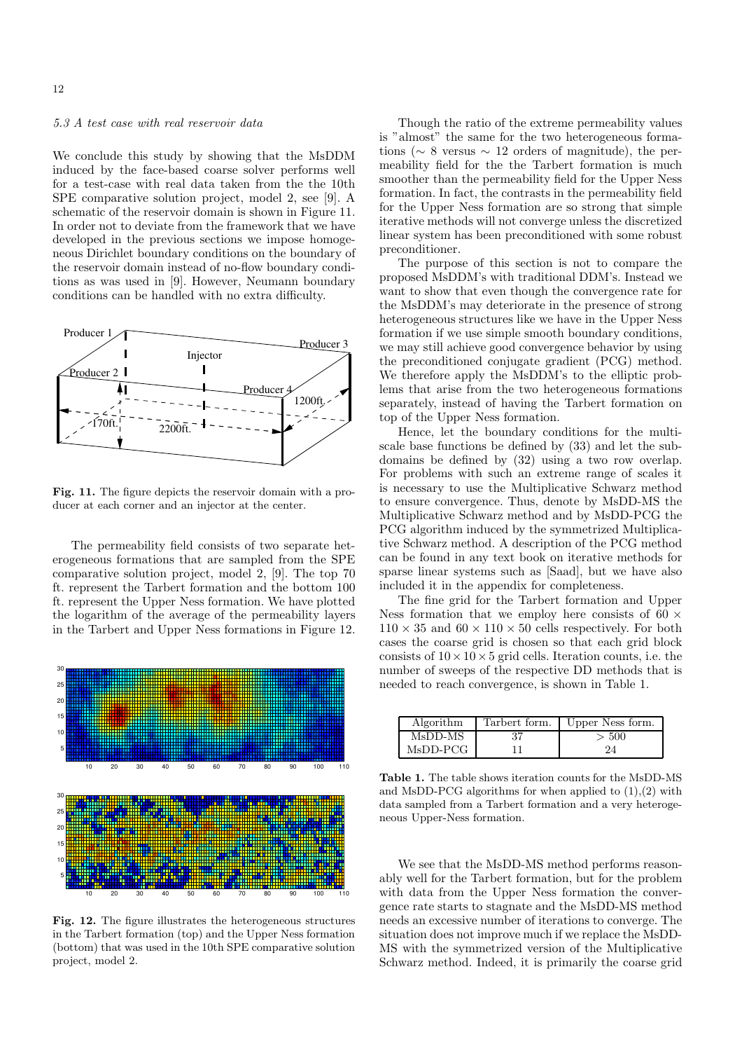# 5.3 A test case with real reservoir data

We conclude this study by showing that the MsDDM induced by the face-based coarse solver performs well for a test-case with real data taken from the the 10th SPE comparative solution project, model 2, see [9]. A schematic of the reservoir domain is shown in Figure 11. In order not to deviate from the framework that we have developed in the previous sections we impose homogeneous Dirichlet boundary conditions on the boundary of the reservoir domain instead of no-flow boundary conditions as was used in [9]. However, Neumann boundary conditions can be handled with no extra difficulty.



Fig. 11. The figure depicts the reservoir domain with a producer at each corner and an injector at the center.

The permeability field consists of two separate heterogeneous formations that are sampled from the SPE comparative solution project, model 2, [9]. The top 70 ft. represent the Tarbert formation and the bottom 100 ft. represent the Upper Ness formation. We have plotted the logarithm of the average of the permeability layers in the Tarbert and Upper Ness formations in Figure 12.



Fig. 12. The figure illustrates the heterogeneous structures in the Tarbert formation (top) and the Upper Ness formation (bottom) that was used in the 10th SPE comparative solution project, model 2.

Though the ratio of the extreme permeability values is "almost" the same for the two heterogeneous formations ( $\sim 8$  versus  $\sim 12$  orders of magnitude), the permeability field for the the Tarbert formation is much smoother than the permeability field for the Upper Ness formation. In fact, the contrasts in the permeability field for the Upper Ness formation are so strong that simple iterative methods will not converge unless the discretized linear system has been preconditioned with some robust preconditioner.

The purpose of this section is not to compare the proposed MsDDM's with traditional DDM's. Instead we want to show that even though the convergence rate for the MsDDM's may deteriorate in the presence of strong heterogeneous structures like we have in the Upper Ness formation if we use simple smooth boundary conditions, we may still achieve good convergence behavior by using the preconditioned conjugate gradient (PCG) method. We therefore apply the MsDDM's to the elliptic problems that arise from the two heterogeneous formations separately, instead of having the Tarbert formation on top of the Upper Ness formation.

Hence, let the boundary conditions for the multiscale base functions be defined by (33) and let the subdomains be defined by (32) using a two row overlap. For problems with such an extreme range of scales it is necessary to use the Multiplicative Schwarz method to ensure convergence. Thus, denote by MsDD-MS the Multiplicative Schwarz method and by MsDD-PCG the PCG algorithm induced by the symmetrized Multiplicative Schwarz method. A description of the PCG method can be found in any text book on iterative methods for sparse linear systems such as [Saad], but we have also included it in the appendix for completeness.

The fine grid for the Tarbert formation and Upper Ness formation that we employ here consists of 60  $\times$  $110 \times 35$  and  $60 \times 110 \times 50$  cells respectively. For both cases the coarse grid is chosen so that each grid block consists of  $10 \times 10 \times 5$  grid cells. Iteration counts, i.e. the number of sweeps of the respective DD methods that is needed to reach convergence, is shown in Table 1.

| Algorithm  | Tarbert form. | Upper Ness form. |
|------------|---------------|------------------|
| MsDD-MS    | 37            | > 500            |
| $MsDD-PCG$ |               | 24               |

Table 1. The table shows iteration counts for the MsDD-MS and MsDD-PCG algorithms for when applied to  $(1),(2)$  with data sampled from a Tarbert formation and a very heterogeneous Upper-Ness formation.

We see that the MsDD-MS method performs reasonably well for the Tarbert formation, but for the problem with data from the Upper Ness formation the convergence rate starts to stagnate and the MsDD-MS method needs an excessive number of iterations to converge. The situation does not improve much if we replace the MsDD-MS with the symmetrized version of the Multiplicative Schwarz method. Indeed, it is primarily the coarse grid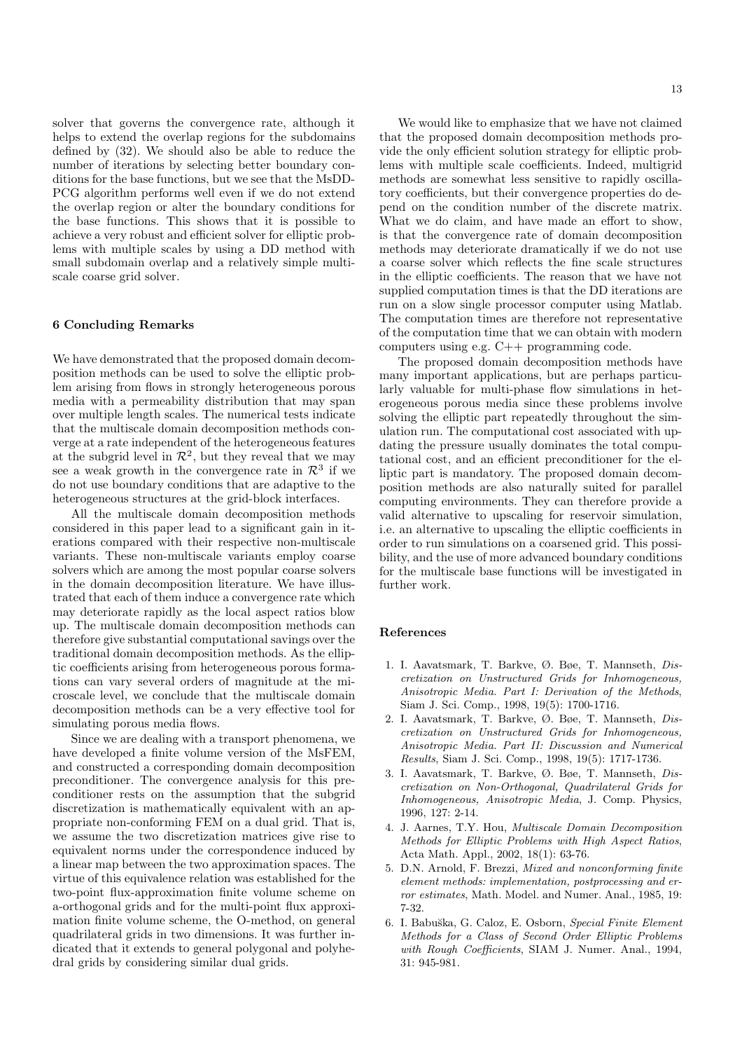solver that governs the convergence rate, although it helps to extend the overlap regions for the subdomains defined by (32). We should also be able to reduce the number of iterations by selecting better boundary conditions for the base functions, but we see that the MsDD-PCG algorithm performs well even if we do not extend the overlap region or alter the boundary conditions for the base functions. This shows that it is possible to achieve a very robust and efficient solver for elliptic problems with multiple scales by using a DD method with small subdomain overlap and a relatively simple multiscale coarse grid solver.

#### 6 Concluding Remarks

We have demonstrated that the proposed domain decomposition methods can be used to solve the elliptic problem arising from flows in strongly heterogeneous porous media with a permeability distribution that may span over multiple length scales. The numerical tests indicate that the multiscale domain decomposition methods converge at a rate independent of the heterogeneous features at the subgrid level in  $\mathcal{R}^2$ , but they reveal that we may see a weak growth in the convergence rate in  $\mathcal{R}^3$  if we do not use boundary conditions that are adaptive to the heterogeneous structures at the grid-block interfaces.

All the multiscale domain decomposition methods considered in this paper lead to a significant gain in iterations compared with their respective non-multiscale variants. These non-multiscale variants employ coarse solvers which are among the most popular coarse solvers in the domain decomposition literature. We have illustrated that each of them induce a convergence rate which may deteriorate rapidly as the local aspect ratios blow up. The multiscale domain decomposition methods can therefore give substantial computational savings over the traditional domain decomposition methods. As the elliptic coefficients arising from heterogeneous porous formations can vary several orders of magnitude at the microscale level, we conclude that the multiscale domain decomposition methods can be a very effective tool for simulating porous media flows.

Since we are dealing with a transport phenomena, we have developed a finite volume version of the MsFEM, and constructed a corresponding domain decomposition preconditioner. The convergence analysis for this preconditioner rests on the assumption that the subgrid discretization is mathematically equivalent with an appropriate non-conforming FEM on a dual grid. That is, we assume the two discretization matrices give rise to equivalent norms under the correspondence induced by a linear map between the two approximation spaces. The virtue of this equivalence relation was established for the two-point flux-approximation finite volume scheme on a-orthogonal grids and for the multi-point flux approximation finite volume scheme, the O-method, on general quadrilateral grids in two dimensions. It was further indicated that it extends to general polygonal and polyhedral grids by considering similar dual grids.

We would like to emphasize that we have not claimed that the proposed domain decomposition methods provide the only efficient solution strategy for elliptic problems with multiple scale coefficients. Indeed, multigrid methods are somewhat less sensitive to rapidly oscillatory coefficients, but their convergence properties do depend on the condition number of the discrete matrix. What we do claim, and have made an effort to show, is that the convergence rate of domain decomposition methods may deteriorate dramatically if we do not use a coarse solver which reflects the fine scale structures in the elliptic coefficients. The reason that we have not supplied computation times is that the DD iterations are run on a slow single processor computer using Matlab. The computation times are therefore not representative of the computation time that we can obtain with modern computers using e.g. C++ programming code.

The proposed domain decomposition methods have many important applications, but are perhaps particularly valuable for multi-phase flow simulations in heterogeneous porous media since these problems involve solving the elliptic part repeatedly throughout the simulation run. The computational cost associated with updating the pressure usually dominates the total computational cost, and an efficient preconditioner for the elliptic part is mandatory. The proposed domain decomposition methods are also naturally suited for parallel computing environments. They can therefore provide a valid alternative to upscaling for reservoir simulation, i.e. an alternative to upscaling the elliptic coefficients in order to run simulations on a coarsened grid. This possibility, and the use of more advanced boundary conditions for the multiscale base functions will be investigated in further work.

# References

- 1. I. Aavatsmark, T. Barkve, Ø. Bøe, T. Mannseth, Discretization on Unstructured Grids for Inhomogeneous, Anisotropic Media. Part I: Derivation of the Methods, Siam J. Sci. Comp., 1998, 19(5): 1700-1716.
- 2. I. Aavatsmark, T. Barkve, Ø. Bøe, T. Mannseth, Discretization on Unstructured Grids for Inhomogeneous, Anisotropic Media. Part II: Discussion and Numerical Results, Siam J. Sci. Comp., 1998, 19(5): 1717-1736.
- 3. I. Aavatsmark, T. Barkve, Ø. Bøe, T. Mannseth, Discretization on Non-Orthogonal, Quadrilateral Grids for Inhomogeneous, Anisotropic Media, J. Comp. Physics, 1996, 127: 2-14.
- 4. J. Aarnes, T.Y. Hou, Multiscale Domain Decomposition Methods for Elliptic Problems with High Aspect Ratios, Acta Math. Appl., 2002, 18(1): 63-76.
- 5. D.N. Arnold, F. Brezzi, Mixed and nonconforming finite element methods: implementation, postprocessing and error estimates, Math. Model. and Numer. Anal., 1985, 19: 7-32.
- 6. I. Babu˘ska, G. Caloz, E. Osborn, Special Finite Element Methods for a Class of Second Order Elliptic Problems with Rough Coefficients, SIAM J. Numer. Anal., 1994, 31: 945-981.